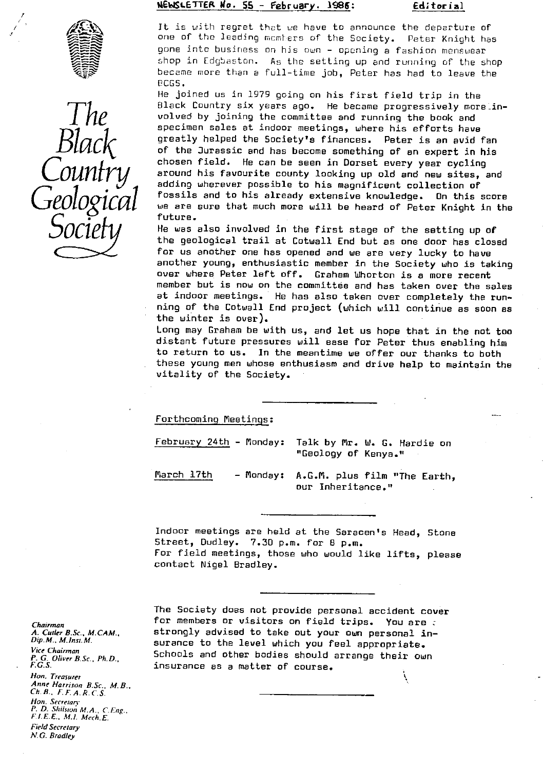# **11 WSLETTEit Ffo. 55 - Frebruar y**

**. 1995 :** ECUtorial



p



It is with regret that we have to announce the departure of one of the leading members of the Society. Peter Knight has gone into business on his own - opening a fashion menswear shop in Cdgbaston. As the setting up and running of the shop became more than a full-time job, Peter has had to leave the ECGS.

He joined us in 1979 going on his first field trip in the Black Country six years ago. He became progressively morelinvolved by joining the committee and running the book and specimen sales at indoor meetings, where his efforts have greatly helped the Society's finances. Peter is an avid fan of the Jurassic and has become something of an expert in his chosen field. He can be seen in Dorset every year cycling around his favourite county looking up old and new sites, and adding wherever possible to his magnificent collection of fossils and to his already extensive knowledge. On this score we are sure that much more will be heard of Peter Knight in the future.

He was also involved in the first stage of the setting up of the geological trail at Cotwall End but as one door has closed for us another one has opened and we are very lucky to have another young, enthusiastic member in the Society who is taking over where. Peter left off. Graham Wharton is a more recent member but is now on the committee and has taken over the sales at indoor meetings. He has also taken over completely the running of the Cotwall End project (which will continue as soon as the winter is over).

Long may Graham be with us, and let us hope that in the not too distant future pressures will ease for Peter thus enabling him to return to us. In the meantime we offer our thanks to both these young men whose enthusiasm and drive help to maintain the vitality of the Society.

Forthcoming Meetings:

February 24th - Monday: Talk by Mr. W. G. Hardie on "Geology of Kenya."

March 17th - Monday: A.G.M. plus film "The Earth, our Inheritance."

Indoor meetings are held at the Saracen's Head, Stone Street, Dudley. 7.30 p.m. for 8 p.m. For field meetings, those who would like lifts, please contact Nigel Bradley.

*Chairman A. Cutler B.Sc., M.CAM., Dip. M., M.lnsi.M.* Vice Chairman *P- G. Oliver B.Sc., Ph.D., F.C.S. Han. Treasurer Anne Harrison B.Sc\_, M. B., Ch.B.. F.F.A.R.C.S. Hon. Secrerary P. D. Shilsron M.A., C.F.ng., F.1.F.E., M.1. Mech.E. Field Secretary N.G. Bradley*

The Society does not provide personal accident cover for members or visitors on field trips. You are strongly advised to take out your own personal insurance to the level which you feel appropriate. Schools and other bodies should arrange their own insurance as a matter of course.

١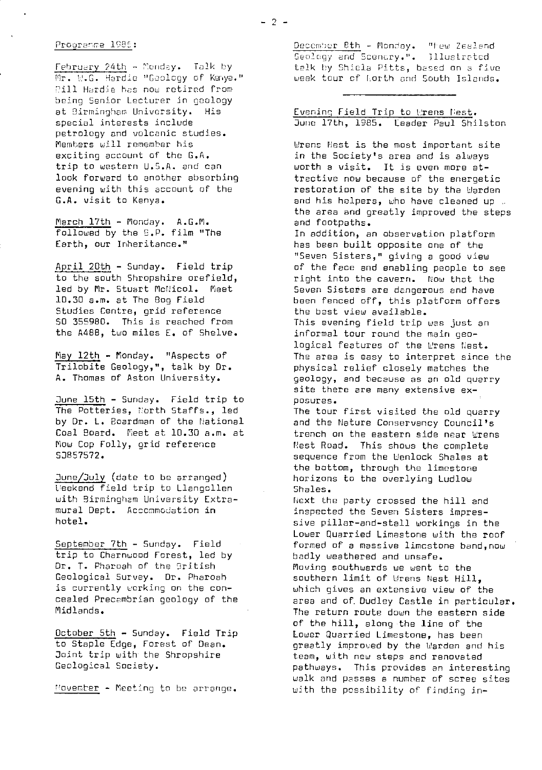#### Prooranme 1986:

February  $24th -$  Monday. Talk by Mr. W.G. Hardie "Geology of Kanya." Pill Hardie has now retired from being Senior Lecturer in geology at Birmingham University. His special interests include petrology and volcanic studies. Members will remember his exciting account of the G.A. trip to western U.S.A. and can look forward to another absorbing evening with this account of the G.A. visit to Kenya.

March 17th - Monday. A.G.M. followed by the S.P. film "The Earth, our Inheritance."

April 20th - Sunday. Field trip to the south Shropshire orefield, led by Mr. Stuart McNicol. Meet 1D.30 a.rn. at The Bog Field Studies Centre, grid reference 50 355980. This is reached from the A48B, two miles E. of Shelve.

May 12th - Monday. "Aspects of Trilobite Geology,", talk by Dr. A. Thomas of Aston University.

June 15th - Sunday. Field trip to The Potteries, North Staffs., led by Dr. L. Boardman of the National Coal Board. Peet at 10.30 a.m. at Now Cop Folly, grid reference SJ857572.

June/July (date to be arranged) Weekend field trip to Llangollen with Birmingham University Extramural Dept. Accommodation in hotel.

September 7th - Sunday. Field trip to Charnwood Forest, led by Dr. T. Pharoah of the British Geological Survey. Dr. Pharoah is currently working on the concealed Precambrian geology of the Midlands.

October 5th - Sunday. Field Trip to Staple Edge, Forest of Dean. Joint trip with the Shropshire Geological Society.

November - Meeting to be arrange.

December 8th - Monday. "Hew Zealand eulogy end Scenery.". Tllustratcd talk by Shiela Pitts, based on a five week tour of North and South Islands.

| Evening Field Trip to Urens Nest. |  |  |  |  |                                       |
|-----------------------------------|--|--|--|--|---------------------------------------|
|                                   |  |  |  |  | June 17th, 1985. Leader Paul Shilston |

Wrens Nest is the most important site in the Society's area and is always worth a visit. It is even more attractive now because of the energetic restoration of the site by the Warden and his helpers, who have cleaned up .. the area and greatly improved the steps and footpaths.

In addition, an observation platform has been built opposite one of the "Seven Sisters," giving a good view of the face and enabling people to see right into the cavern. Now that the Seven Sisters are dangerous and have been fenced off, this platform offers the best view available.

This evening field trip was just an informal tour round the main geological features of the Wrens Nest. The area is easy to interpret since the physical relief closely matches the geology, and because as an old quarry site there are many extensive exposures.

The tour first visited the old quarry and the Nature Conservancy Council's trench on the eastern side near Wrens Nest Road. This shows the complete sequence from the Wenlock Shales at the bottom, through the limestone horizons to the overlying Ludlow Shales.

kext the party crossed the hill and inspected the Seven Sisters impressive pillar-and-stall workings in the Lower quarried Limestone with the roof formed of a massive limestone band, now badly weathered and unsafe. Moving southwards we went to the southern limit of Wrens Nest Hill, which gives an extensive view of the area and of. Dudley Castle in particular. The return route down the eastern side of the hill, along the line of the Lower Quarried Limestone, has been greatly improved by the Warden and his team, with new steps and renovated pathways. This provides an interesting walk and passes a number of scree sites with the possibility of finding in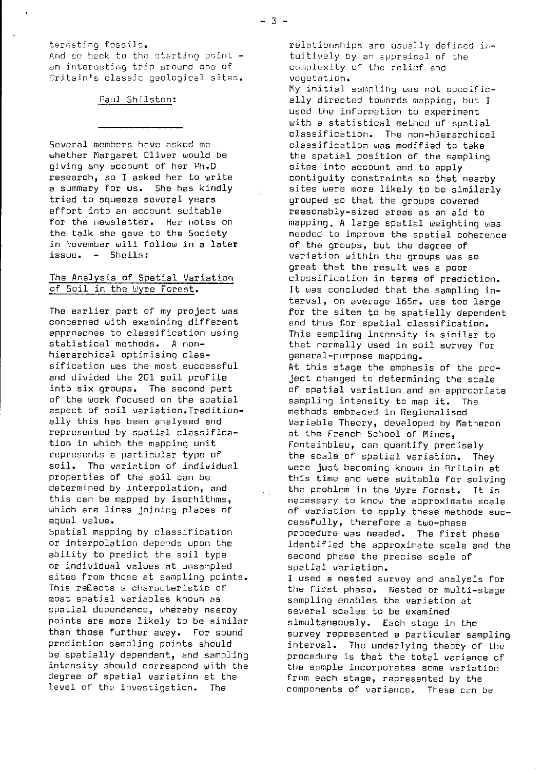ternsting fossils.

And so hack to the starting point  $$ an interesting trip around one of Eritain's classic geological sites.

### Paul Shilston:

Several members have asked me whether Margaret Oliver would be giving any account of her Ph.D research, so I asked her to write a summary for us. She has kindly tried to squeeze several years effort into an account suitable for the newsletter. Her notes on the talk she gave to the Society in November will follow in a later issue. -- Sheila:

# The Analysis of spatial Variation of Soil in the Wyre Forest.

The earlier part of my project was concerned with examining different approaches to classification using statistical methods. A nonhierarchical optimising classification was the most successful and divided the 201 soil profile into six groups. The second part of the work focused on the spatial aspect of soil variation.Traditionally this has been analysed and represented by spatial classification in which the mapping unit represents a particular type of soil. The variation of individual properties of the soil can be determined by interpolation, and this can be mapped by isorhithms, which are lines joining places of equal value.

Spatial mapping by classification or interpolation depends upon the ability to predict the soil type or individual values at unsampled sites from those at sampling points. This reEects a characteristic of most spatial variables known as spatial dependence, whereby nearby points are more likely to be similar than those further away. For sound prediction sampling points should be spatially dependent, and sampling intensity should correspond with the degree *of* spatial variation at the level of the investigation. The

relationships are usually defined *in*tuitively by an appraisal of the cumploxity of the relief and vegetation.

My initial sampling was not specifically directed towards mapping, but I used the information to experiment with a statistical method of spatial classification. The non-hierarchical classification was modified to take the spatial position of the sampling sites into account and to apply contiguity constraints so that nearby sites were more likely to be similarly grouped so that the groups covered reasonably-sized areas as an aid to mapping. A large spatial weighting was needed to improve the spatial coherence *of* the groups, but the degree of variation within the groups was so great that the result was a poor classification in terms of prediction. It was concluded that the sampling interval, on average 165m. was too large for the sites to be spatially dependent and thus for spatial classification. This sampling intensity is similar to that normally used in soil survey for general-purpose mapping. At this stage the emphasis of the project changed to determining the scale of spatial variation and an appropriate sampling intensity to map it. The methods embraced in Regionalised Variable Theory, developed by Matheron at the French School of Mines, Fontainbleu, can quantify precisely the scale of spatial variation. They were just becoming known in Britain at this time and were suitable for solving the problem in the Wyre Forest. It is necessary to know the approximate scale of variation to apply these methods successTully, therefore a two-phase procedure was needed. The first phase identified the approximate scale and the second phase the precise scale of spatial variation.

I used a nested survey and analysis for the first phase. Nested or multi-stage sampling enables the variation at several scales to be examined simultaneously. Each stage in the survey represented a particular sampling interval. The underlying theory of the procedure is that the total variance of the sample incorporates some variation from each stage, represented by the components of variance. These can be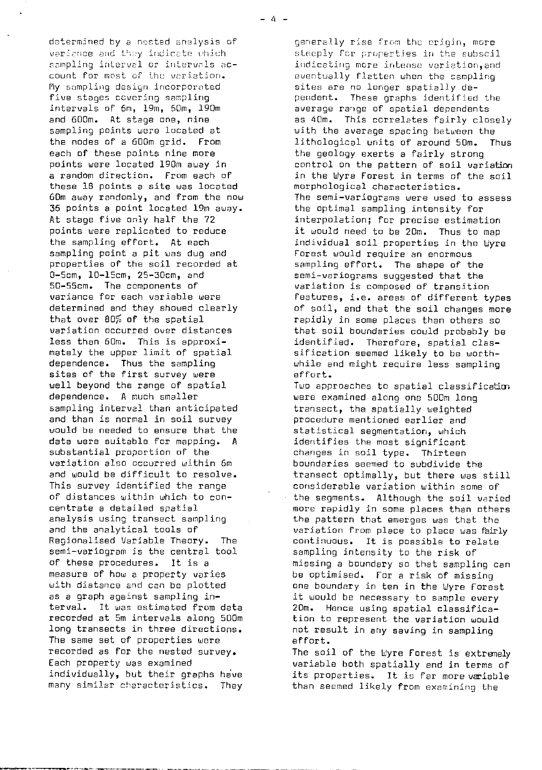determined by a nested analysis of variance and they indicate which sampling interval or intervals account for most of the variation. Fly sampling design incorporated five stages covering sampling intervals of 6m, 19m, 50m, 190m and 600m. At stage one, nine sampling points were located at the nodes of a 600m grid. From each of these points nine more points were located 190m away in a random direction. From each of these 18 points a site was located 6Dm away randomly, and from the now 35 points a point located 19m away. At stage five only half the 72 points were replicated to reduce the sampling effort. At each sampling point a pit was dug and properties of the soil recorded at 0-5cm, 10-15cm, 25-30cm, and 50-55cm. The components of variance for each variable were determined and they showed clearly that over 80% of the spatial variation occurred over distances less than 60m. This is approximately the upper limit of spatial dependence. Thus the sampling sites of the first survey were well beyond the range of spatial dependence. A much smaller sampling interval than anticipated and than is normal in soil survey would be needed to ensure that the data were suitable for mapping. A substantial proportion of the variation also occurred within 6m and would be difficult to resolve. This survey identified the range of distances within which to concentrate a detailed spatial analysis using transect sampling and the analytical tools of Regionalised Variable Theory. The semi-variogram is the central tool of these procedures. It is a measure of how a property varies with distance and can be plotted as a graph against sampling interval. It was estimated from data recorded at 5m intervals along 500m long transects in three directions. The same set of properties were recorded as for the nested survey. Each property was examined individually, but their graphs have many similar characteristics. They

generally rise from the origin, more steeply for properties in the subscil indicating more intense variation, and eventually flatten when the sampling sites are no longer spatially dependent. These graphs identified the average range of spatial dependents as 40m. This correlates fairly closely with the average spacing between the<br>lithological units of around 50m. Thus lithological units of around 50m. the geology exerts a fairly strong control on the pattern of soil variation in the Wyre Forest in terms of the soil morphological characteristics. The semi-variograms were used to assess the optimal sampling intensity for interpolation; for precise estimation it would need to be 20m. Thus to map individual soil properties in the Uyre Forest would require an enormous sampling effort. The shape of the semi-variograms suggested that the variation is composed of transition features, i.e. areas of different types of soil, and that the soil changes more rapidly in some places than others so that soil boundaries could probably be identified. Therefore, spatial classification seemed likely to be worthwhile and might require less sampling effort.

Two approaches to spatial classification were examined along one 500m long transect, the spatially weighted procedure mentioned earlier and statistical segmentation, which identifies the most significant changes in soil type. Thirteen boundaries seemed to subdivide the transect optimally, but there was still considerable variation within some of the segments. Although the soil varied more rapidly in some places than others the pattern that emerges was that the variation from place to place was fairly continuous. It is possible to relate sampling intensity to the risk of missing a boundary so that sampling can be optimised. For a risk of missing one boundary in ten in the Wyre Forest it would be necessary to sample every 20m. Hence using spatial classification to represent the variation would not result in any saving in sampling effort.

The soil of the Wyre Forest is extremely variable both spatially and in terms of its properties. It is for more variable than seemed likely from examining the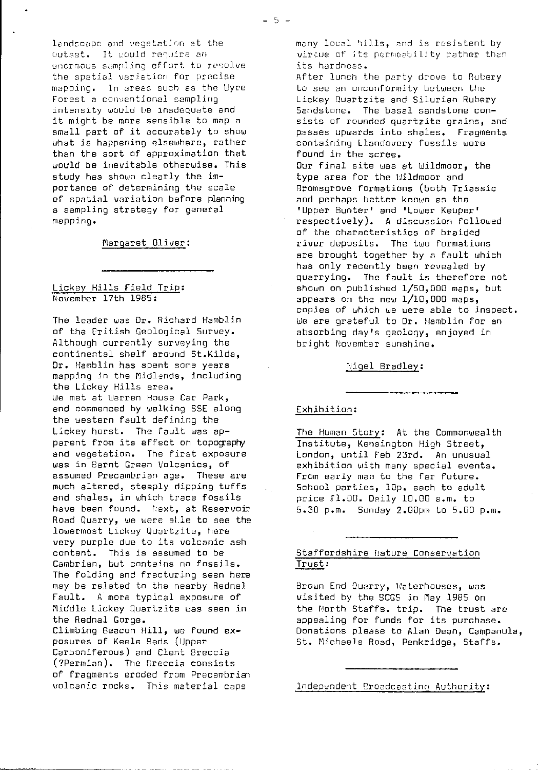lendccape and vegetation at the outset. It would require an enormous sampling effort to resolve the spatial variation for precise mapping. In areas such as the Wyre Forest a conventional sampling intensity would be inadequate and it might be more sensible to map a small part of it accurately to show what is happening elsewhere, rather than the sort of approximation that would be inevitable otherwise. This study has shown clearly the importance of determining the scale of spatial variation before planning a sampling strategy for general mapping.

Margaret Oliver:

## Lickey Hills Field Trip: November 17th 1985:

The leader was Dr. Richard Hamblin of the Eritish Geological Survey. Although currently surveying the continental shelf around St.Kilda, Dr. Hamblin has spent some years mapping in the Midlands, including the Lickey Hills area. We met at Warren House Car Park, and commenced by walking SSE along the western fault defining the Lickey horst. The fault was apparent from its effect on topography and vegetation. The first exposure was in flarnt Green Volcanics, of assumed Precambrian age. These are much altered, steeply dipping tuffs and shales, in which trace fossils have been found. Next, at Reservoir Road Quarry, we were alle to see the lowermost Lickey Quartzite, here very purple due to its volcanic ash content. This is assumed to be Cambrian, but contains no fossils. The folding and fracturing seen here may be related to the nearby Rednal Fault. A more typical exposure of Middle Lickey quartzite was seen in the Rednal Gorge. Climbing Beacon Hill, we found exposures of Keele Reds (Upper Carboniferous) and Clent Breccia (?Permian). The Ereccia consists of fragments eroded from Precambrian volcanic rocks. This material caps

many local hills, and is resistent by virtue of its permeability rather than its hardness.

After lunch the party drove to Rubery to see an unconformity between the Lickey Duartzite and Silurian Rubery Sandstone. The basal sandstone consists of rounded quartzite grains, and passes upwards into shales. Fragments containing Llandovery fossils were found in the scree. Our final site was at Wildmoor, the type area for the Wildmoor and Rromsgrove formations (both Triassic and perhaps better known as the 'Upper Bunter' and 'Lower Keuper' respectively). A discussion followed of the characteristics of braided river deposits. The two formations are brought together by a fault which has only recently been revealed by quarrying. The fault is therefore not shown on published 1/50,0D0 maps, but appears on the new  $1/10,000$  maps, copies of which we were able to inspect. We are grateful to Dr. Hamblin for an absorbing day's geology, enjoyed in bright November sunshine.

%igel Bradley :

# Exhibition:

The Human Story: At the Commonwealth Institute, Kensington High Street, London, until Feb 23rd. An unusual exhibition with many special events. From early man to the far future. School parties, 10p. each to adult price 11.00. Daily 10.00 a.m. to 5.30 p.m. Sunday 2.00pm to 5.00 p.m.

## Staffordshire Hature Conservation Trust :

Brown End Quarry, Waterhouses, was visited by the 9CGS in **May** 1985 on the North Staffs. trip. The trust are appealing for funds for its purchase. Donations please to Alan Dean, Campanula, St. Michaels Road, Penkridge, Staffs.

Independent Broadcesting Authority: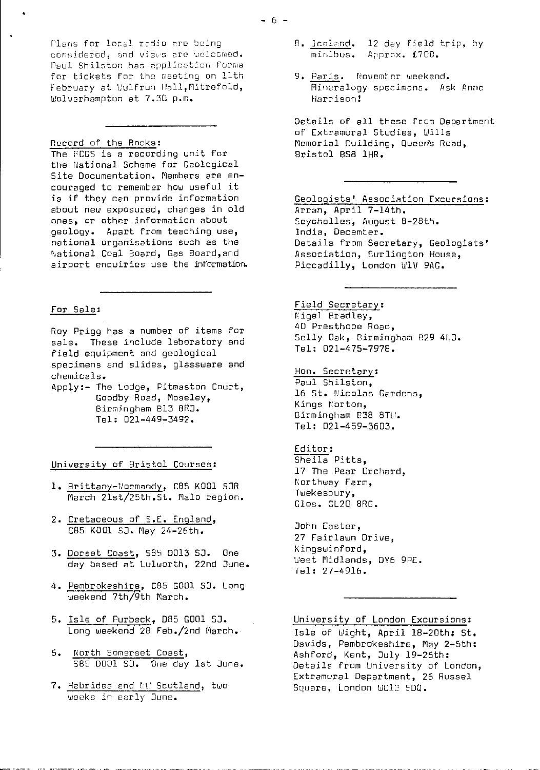Plans for local radio are being considered, and views are welcomed. Peul Shilston has application forms for tickets for the meeting on 11th February at Wulfrun Hall, Mitrefold, Wolverhamptun at 7.3D p.m.

#### Record of the Rocks :

۰

The FCGS is a recording unit for the National Scheme for Geological Site Documentation. Members are encouraged to remember how useful it is if they can provide information about new exposured, changes in old ones, or other information about geology. Apart from teaching use, national organisations such as the National Coal Board, Gas Board,and airport enquiries use the information.

## For Sale :

Roy Prigg has a number of items for sale. These include laboratory and field equipment and geological specimens and slides, glassware and chemicals.

Apply:- The Lodge, Pitmaston Curt, Gaodby Road, Moseley, Birmingham B13 8RJ. Tel: 021-449-3492.

#### University of Bristol Courses :

- 1. Brittany-Normandy, C85 K001 SJR March 21st/25th.St. Malo region.
- 2. Cretaceous of S.E. England , CB5 K001 5J. May 24-26th.
- 3. Dorset Coast, 585 DO13 SJ. One day based at Luluorth, 22nd June.
- 4. Pembrokeshire, C85 G001 SJ. Long weekend 7th/9th March.
- 5. Isle of Purbeck, D85 G001 SJ. Long weekend 28 Feb./2nd March.
- 6. North Somerset Coast, 585 DD01 SJ. One day 1st June.
- 7. Hebrides and M.' Scotland, two weeks in early June.
- 8. <u>Iceland</u>. 12 day field trip, by minibus. Approx. £700.
- 9. Paris. Novemter weekend. Mineralogy specimcns. Ask Anne Harrison!

Details of all these from Department of Extramural Studies, Wills Memorial Building, Queen's Road, Bristol 058 1HR.

Geologists' Association Excursions : Arran, April 7-14th. Seychelles, August 8-28th. India, Decemter. Details from Secretary, Geologists' Association, Burlington House, Piccadilly, London W1V 9AG.

Field Secretary : Nigel Bradley, 40 Presthope Road, Selly Oak, Birmingham 829 4NJ. Tel: 021-475-7978.

Hon. Secretary : Paul Shilston, 16 St. Nicolas Gardens, Kings Norton, Birmingham 538 8TW. Tel: 021-459-3603.

Editor : Sheila Pitts, 17 The Pear Orchard, Northway Farm, Twekesbury, Glos. GL20 BRG.

John Caster, 27 Fairlawn Drive, Kingswinford, West Midlands, DY6 9PE. Tel: 27-4916.

University of London Excursions:

Isle of Wight, April 18-20th; St. Davids, Pembrokeshire, **May** 2-5th: Ashford, Kent, July 19-26th: Details from University of London, Extramural Department, 26 Russel Square, London WC12 5DQ.